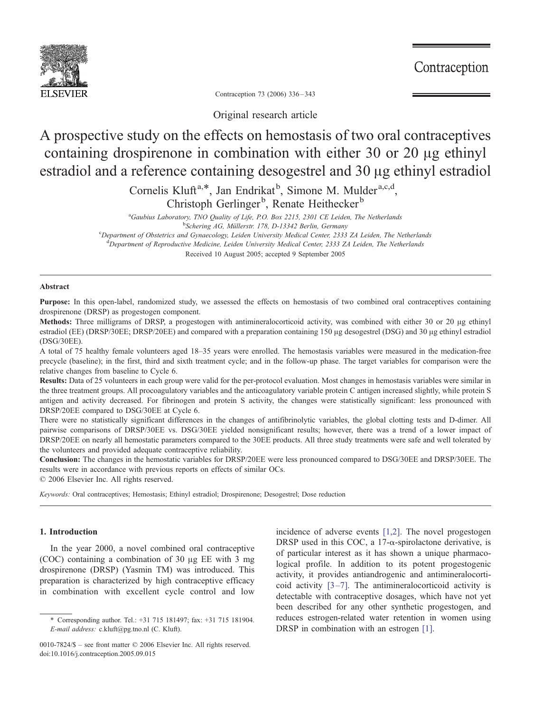

Contraception

Contraception 73 (2006) 336 – 343

Original research article

# A prospective study on the effects on hemostasis of two oral contraceptives containing drospirenone in combination with either 30 or 20  $\mu$ g ethinyl estradiol and a reference containing desogestrel and 30 µg ethinyl estradiol

Cornelis Kluft<sup>a,\*</sup>, Jan Endrikat<sup>b</sup>, Simone M. Mulder<sup>a,c,d</sup>, Christoph Gerlinger<sup>b</sup>, Renate Heithecker<sup>b</sup>

<sup>a</sup>Gaubius Laboratory, TNO Quality of Life, P.O. Box 2215, 2301 CE Leiden, The Netherlands<br><sup>b</sup>Scharing A.G. Müllerstr, 178, D. 13342 Barlin, Germany <sup>b</sup>Schering AG, Müllerstr. 178, D-13342 Berlin, Germany<br>Department of Obstetrics and Gynaecology, Leiden University Medical Center, 2333 ZA Leiden, The Netherlands<sup>e</sup> <sup>d</sup>Department of Reproductive Medicine, Leiden University Medical Center, 2333 ZA Leiden, The Netherlands Received 10 August 2005; accepted 9 September 2005

## Abstract

Purpose: In this open-label, randomized study, we assessed the effects on hemostasis of two combined oral contraceptives containing drospirenone (DRSP) as progestogen component.

Methods: Three milligrams of DRSP, a progestogen with antimineralocorticoid activity, was combined with either 30 or 20 µg ethinyl estradiol (EE) (DRSP/30EE; DRSP/20EE) and compared with a preparation containing 150 µg desogestrel (DSG) and 30 µg ethinyl estradiol (DSG/30EE).

A total of 75 healthy female volunteers aged 18–35 years were enrolled. The hemostasis variables were measured in the medication-free precycle (baseline); in the first, third and sixth treatment cycle; and in the follow-up phase. The target variables for comparison were the relative changes from baseline to Cycle 6.

Results: Data of 25 volunteers in each group were valid for the per-protocol evaluation. Most changes in hemostasis variables were similar in the three treatment groups. All procoagulatory variables and the anticoagulatory variable protein C antigen increased slightly, while protein S antigen and activity decreased. For fibrinogen and protein S activity, the changes were statistically significant: less pronounced with DRSP/20EE compared to DSG/30EE at Cycle 6.

There were no statistically significant differences in the changes of antifibrinolytic variables, the global clotting tests and D-dimer. All pairwise comparisons of DRSP/30EE vs. DSG/30EE yielded nonsignificant results; however, there was a trend of a lower impact of DRSP/20EE on nearly all hemostatic parameters compared to the 30EE products. All three study treatments were safe and well tolerated by the volunteers and provided adequate contraceptive reliability.

Conclusion: The changes in the hemostatic variables for DRSP/20EE were less pronounced compared to DSG/30EE and DRSP/30EE. The results were in accordance with previous reports on effects of similar OCs.

 $© 2006 Elsevier Inc. All rights reserved.$ 

Keywords: Oral contraceptives; Hemostasis; Ethinyl estradiol; Drospirenone; Desogestrel; Dose reduction

# 1. Introduction

In the year 2000, a novel combined oral contraceptive (COC) containing a combination of 30  $\mu$ g EE with 3 mg drospirenone (DRSP) (Yasmin TM) was introduced. This preparation is characterized by high contraceptive efficacy in combination with excellent cycle control and low

incidence of adverse events [\[1,2\].](#page-6-0) The novel progestogen DRSP used in this COC, a 17- $\alpha$ -spirolactone derivative, is of particular interest as it has shown a unique pharmacological profile. In addition to its potent progestogenic activity, it provides antiandrogenic and antimineralocorticoid activity  $[3-7]$ . The antimineral ocorticoid activity is detectable with contraceptive dosages, which have not yet been described for any other synthetic progestogen, and reduces estrogen-related water retention in women using DRSP in combination with an estrogen [\[1\].](#page-6-0)

<sup>4</sup> Corresponding author. Tel.: +31 715 181497; fax: +31 715 181904. E-mail address: c.kluft@pg.tno.nl (C. Kluft).

<sup>0010-7824/\$ –</sup> see front matter  $\odot$  2006 Elsevier Inc. All rights reserved. doi:10.1016/j.contraception.2005.09.015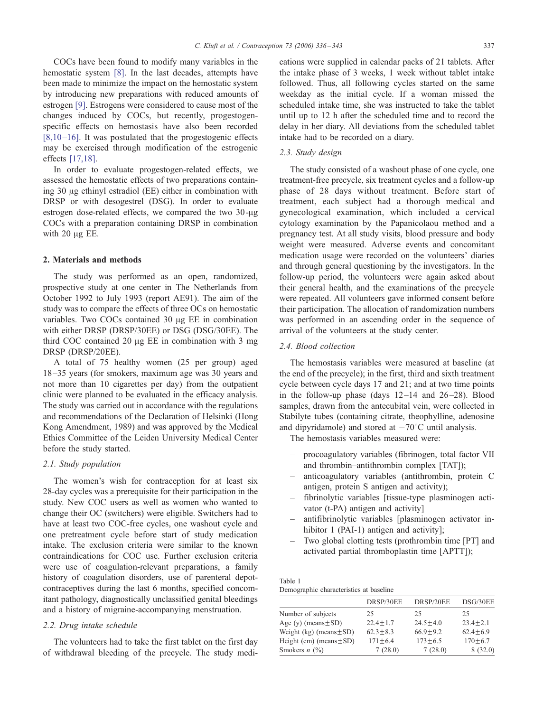<span id="page-1-0"></span>COCs have bee[n fo](#page-6-0)und to modify many variables in the hemostatic system [8]. In the last decades, attempts have been made to minimize the impact on the hemostatic system by intro[duci](#page-6-0)ng new preparations with reduced amounts of estrogen [9]. Estrogens were considered to cause most of the changes induced by COCs, but recently, progestogen[specific e](#page-6-0)ffects on hemostasis have also been recorded  $[8,10 - 16]$ . It was postulated that the progestogenic effects may b[e exerci](#page-6-0)sed through modification of the estrogenic effects [17,18].

In order to evaluate progestogen-related effects, we assessed the hemostatic effects of two preparations containing 30  $\mu$ g ethinyl estradiol (EE) either in combination with DRSP or with desogestrel (DSG). In order to evaluate estrogen dose-related effects, we compared the two  $30$ - $\mu$ g COCs with a preparation containing DRSP in combination with  $20 \mu g$  EE.

#### 2. Materials and methods

The study was performed as an open, randomized, prospective study at one center in The Netherlands from October 1992 to July 1993 (report AE91). The aim of the study was to compare the effects of three OCs on hemostatic variables. Two COCs contained  $30 \mu g$  EE in combination with either DRSP (DRSP/30EE) or DSG (DSG/30EE). The third COC contained 20  $\mu$ g EE in combination with 3 mg DRSP (DRSP/20EE).

A total of 75 healthy women (25 per group) aged 18–35 years (for smokers, maximum age was 30 years and not more than 10 cigarettes per day) from the outpatient clinic were planned to be evaluated in the efficacy analysis. The study was carried out in accordance with the regulations and recommendations of the Declaration of Helsinki (Hong Kong Amendment, 1989) and was approved by the Medical Ethics Committee of the Leiden University Medical Center before the study started.

## 2.1. Study population

The women's wish for contraception for at least six 28-day cycles was a prerequisite for their participation in the study. New COC users as well as women who wanted to change their OC (switchers) were eligible. Switchers had to have at least two COC-free cycles, one washout cycle and one pretreatment cycle before start of study medication intake. The exclusion criteria were similar to the known contraindications for COC use. Further exclusion criteria were use of coagulation-relevant preparations, a family history of coagulation disorders, use of parenteral depotcontraceptives during the last 6 months, specified concomitant pathology, diagnostically unclassified genital bleedings and a history of migraine-accompanying menstruation.

# 2.2. Drug intake schedule

The volunteers had to take the first tablet on the first day of withdrawal bleeding of the precycle. The study medications were supplied in calendar packs of 21 tablets. After the intake phase of 3 weeks, 1 week without tablet intake followed. Thus, all following cycles started on the same weekday as the initial cycle. If a woman missed the scheduled intake time, she was instructed to take the tablet until up to 12 h after the scheduled time and to record the delay in her diary. All deviations from the scheduled tablet intake had to be recorded on a diary.

# 2.3. Study design

The study consisted of a washout phase of one cycle, one treatment-free precycle, six treatment cycles and a follow-up phase of 28 days without treatment. Before start of treatment, each subject had a thorough medical and gynecological examination, which included a cervical cytology examination by the Papanicolaou method and a pregnancy test. At all study visits, blood pressure and body weight were measured. Adverse events and concomitant medication usage were recorded on the volunteers' diaries and through general questioning by the investigators. In the follow-up period, the volunteers were again asked about their general health, and the examinations of the precycle were repeated. All volunteers gave informed consent before their participation. The allocation of randomization numbers was performed in an ascending order in the sequence of arrival of the volunteers at the study center.

# 2.4. Blood collection

The hemostasis variables were measured at baseline (at the end of the precycle); in the first, third and sixth treatment cycle between cycle days 17 and 21; and at two time points in the follow-up phase (days  $12-14$  and  $26-28$ ). Blood samples, drawn from the antecubital vein, were collected in Stabilyte tubes (containing citrate, theophylline, adenosine and dipyridamole) and stored at  $-70^{\circ}$ C until analysis.

The hemostasis variables measured were:

- procoagulatory variables (fibrinogen, total factor VII and thrombin–antithrombin complex [TAT]);
- anticoagulatory variables (antithrombin, protein C antigen, protein S antigen and activity);
- fibrinolytic variables [tissue-type plasminogen activator (t-PA) antigen and activity]
- antifibrinolytic variables [plasminogen activator inhibitor 1 (PAI-1) antigen and activity];
- Two global clotting tests (prothrombin time [PT] and activated partial thromboplastin time [APTT]);

Table 1 Demographic characteristics at baseline

|                              | DRSP/30EE    | DRSP/20EE    | DSG/30EE     |
|------------------------------|--------------|--------------|--------------|
| Number of subjects           | 25           | 25           | 25           |
| Age (y) (means $\pm$ SD)     | $22.4 + 1.7$ | $24.5 + 4.0$ | $23.4 + 2.1$ |
| Weight (kg) (means $\pm$ SD) | $62.3 + 8.3$ | $66.9 + 9.2$ | $62.4 + 6.9$ |
| Height (cm) (means $\pm$ SD) | $171 + 6.4$  | $173 + 6.5$  | $170 + 6.7$  |
| Smokers $n$ (%)              | 7(28.0)      | 7(28.0)      | 8(32.0)      |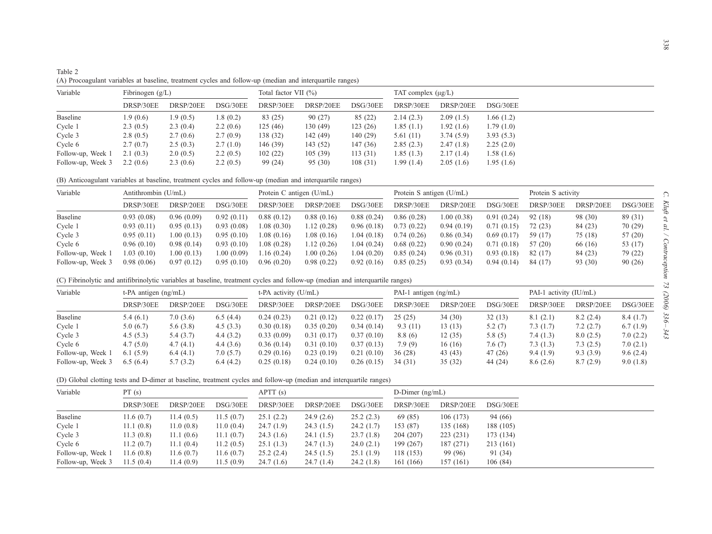<span id="page-2-0"></span>

| Table 2                                                                                                  |  |
|----------------------------------------------------------------------------------------------------------|--|
| (A) Procoagulant variables at baseline, treatment cycles and follow-up (median and interquartile ranges) |  |

| Variable          | Fibrinogen $(g/L)$ |           |          | Total factor VII $(\% )$ |           |          |            | TAT complex $(\mu g/L)$ |           |  |
|-------------------|--------------------|-----------|----------|--------------------------|-----------|----------|------------|-------------------------|-----------|--|
|                   | DRSP/30EE          | DRSP/20EE | DSG/30EE | DRSP/30EE                | DRSP/20EE | DSG/30EE | DRSP/30EE  | DRSP/20EE               | DSG/30EE  |  |
| Baseline          | 1.9(0.6)           | 1.9(0.5)  | 1.8(0.2) | 83 (25)                  | 90(27)    | 85 (22)  | 2.14(2.3)  | 2.09(1.5)               | 1.66(1.2) |  |
| Cycle 1           | 2.3(0.5)           | 2.3(0.4)  | 2.2(0.6) | 125(46)                  | 130 (49)  | 123(26)  | 1.85(1.1)  | 1.92(1.6)               | 1.79(1.0) |  |
| Cycle 3           | 2.8(0.5)           | 2.7(0.6)  | 2.7(0.9) | 138 (32)                 | 142 (49)  | 140(29)  | 5.61(11)   | 3.74(5.9)               | 3.93(5.3) |  |
| Cycle 6           | 2.7(0.7)           | 2.5(0.3)  | 2.7(1.0) | 146 (39)                 | 143 (52)  | 147(36)  | 2.85(2.3)  | 2.47(1.8)               | 2.25(2.0) |  |
| Follow-up, Week 1 | 2.1(0.3)           | 2.0(0.5)  | 2.2(0.5) | 102(22)                  | 105(39)   | 113(31)  | 1.85(1.3)  | 2.17(1.4)               | 1.58(1.6) |  |
| Follow-up, Week 3 | 2.2(0.6)           | 2.3(0.6)  | 2.2(0.5) | 99 (24)                  | 95(30)    | 108(31)  | 1.99 (1.4) | 2.05(1.6)               | 1.95(1.6) |  |

(B) Anticoagulant variables at baseline, treatment cycles and follow-up (median and interquartile ranges)

| Variable          | Antithrombin (U/mL) |            |            | Protein C antigen $(U/mL)$ |            |             | Protein S antigen $(U/mL)$ |            |            | Protein S activity |           |          |
|-------------------|---------------------|------------|------------|----------------------------|------------|-------------|----------------------------|------------|------------|--------------------|-----------|----------|
|                   | DRSP/30EE           | DRSP/20EE  | DSG/30EE   | DRSP/30EE                  | DRSP/20EE  | DSG/30EE    | DRSP/30EE                  | DRSP/20EE  | DSG/30EE   | DRSP/30EE          | DRSP/20EE | DSG/30EE |
| Baseline          | 0.93(0.08)          | 0.96(0.09) | 0.92(0.11) | 0.88(0.12)                 | 0.88(0.16) | 0.88(0.24)  | 0.86(0.28)                 | 1.00(0.38) | 0.91(0.24) | 92 (18)            | 98 (30)   | 89 (31)  |
| Cycle 1           | 0.93(0.11)          | 0.95(0.13) | 0.93(0.08) | 1.08(0.30)                 | 1.12(0.28) | 0.96(0.18)  | 0.73(0.22)                 | 0.94(0.19) | 0.71(0.15) | 72 (23)            | 84 (23)   | 70 (29)  |
| Cycle 3           | 0.95(0.11)          | 1.00(0.13) | 0.95(0.10) | 0.08(0.16)                 | 1.08(0.16) | 1.04 (0.18) | 0.74(0.26)                 | 0.86(0.34) | 0.69(0.17) | 59 (17)            | 75 (18)   | 57(20)   |
| Cycle 6           | 0.96(0.10)          | 0.98(0.14) | 0.93(0.10) | 1.08(0.28)                 | 1.12(0.26) | 1.04 (0.24) | 0.68(0.22)                 | 0.90(0.24) | 0.71(0.18) | 57 (20)            | 66 (16)   | 53 (17)  |
| Follow-up, Week 1 | 1.03(0.10)          | 1.00(0.13) | 1.00(0.09) | .16(0.24)                  | 1.00(0.26) | 1.04 (0.20) | 0.85(0.24)                 | 0.96(0.31) | 0.93(0.18) | 82 (17)            | 84 (23)   | 79 (22)  |
| Follow-up, Week 3 | 0.98(0.06)          | 0.97(0.12) | 0.95(0.10) | 0.96(0.20)                 | 0.98(0.22) | 0.92(0.16)  | 0.85(0.25)                 | 0.93(0.34) | 0.94(0.14) | 84 (17)            | 93 (30)   | 90(26)   |

(C) Fibrinolytic and antifibrinolytic variables at baseline, treatment cycles and follow-up (median and interquartile ranges)

| Variable          | t-PA antigen $(ng/mL)$ |           |          | t-PA activity (U/mL) |            |            | PAI-1 antigen (ng/mL) |           |          | PAI-1 activity (IU/mL) |           |          |
|-------------------|------------------------|-----------|----------|----------------------|------------|------------|-----------------------|-----------|----------|------------------------|-----------|----------|
|                   | DRSP/30EE              | DRSP/20EE | DSG/30EE | DRSP/30EE            | DRSP/20EE  | DSG/30EE   | DRSP/30EE             | DRSP/20EE | DSG/30EE | DRSP/30EE              | DRSP/20EE | DSG/30EE |
| Baseline          | 5.4(6.1)               | 7.0(3.6)  | 6.5(4.4) | 0.24(0.23)           | 0.21(0.12) | 0.22(0.17) | 25(25)                | 34(30)    | 32(13)   | 8.1(2.1)               | 8.2(2.4)  | 8.4(1.7) |
| Cycle 1           | 5.0(6.7)               | 5.6(3.8)  | 4.5(3.3) | 0.30(0.18)           | 0.35(0.20) | 0.34(0.14) | 9.3(11)               | 13(13)    | 5.2(7)   | 7.3(1.7)               | 7.2(2.7)  | 6.7(1.9) |
| Cycle 3           | 4.5(5.3)               | 5.4(3.7)  | 4.4(3.2) | 0.33(0.09)           | 0.31(0.17) | 0.37(0.10) | 8.8(6)                | 12(35)    | 5.8(5)   | 7.4(1.3)               | 8.0(2.5)  | 7.0(2.2) |
| Cycle 6           | 4.7(5.0)               | 4.7(4.1)  | 4.4(3.6) | 0.36(0.14)           | 0.31(0.10) | 0.37(0.13) | 7.9(9)                | 16(16)    | 7.6(7)   | 7.3(1.3)               | 7.3(2.5)  | 7.0(2.1) |
| Follow-up, Week 1 | 6.1(5.9)               | 6.4(4.1)  | 7.0(5.7) | 0.29(0.16)           | 0.23(0.19) | 0.21(0.10) | 36(28)                | 43(43)    | 47 (26)  | 9.4(1.9)               | 9.3(3.9)  | 9.6(2.4) |
| Follow-up, Week 3 | 6.5(6.4)               | 5.7(3.2)  | 6.4(4.2) | 0.25(0.18)           | 0.24(0.10) | 0.26(0.15) | 34 (31)               | 35(32)    | 44 (24)  | 8.6(2.6)               | 8.7(2.9)  | 9.0(1.8) |

(D) Global clotting tests and D-dimer at baseline, treatment cycles and follow-up (median and interquartile ranges)

| Variable          | PT(s)     |            |           | APT(s)    |           |           | D-Dimer $(ng/mL)$ |           |           |  |
|-------------------|-----------|------------|-----------|-----------|-----------|-----------|-------------------|-----------|-----------|--|
|                   | DRSP/30EE | DRSP/20EE  | DSG/30EE  | DRSP/30EE | DRSP/20EE | DSG/30EE  | DRSP/30EE         | DRSP/20EE | DSG/30EE  |  |
| Baseline          | 11.6(0.7) | 1.4(0.5)   | 11.5(0.7) | 25.1(2.2) | 24.9(2.6) | 25.2(2.3) | 69 (85)           | 106(173)  | 94 (66)   |  |
| Cycle 1           | 11.1(0.8) | 11.0 (0.8) | 11.0(0.4) | 24.7(1.9) | 24.3(1.5) | 24.2(1.7) | 153 (87)          | 135 (168) | 188 (105) |  |
| Cycle 3           | 11.3(0.8) | 11.1(0.6)  | 11.1(0.7) | 24.3(1.6) | 24.1(1.5) | 23.7(1.8) | 204 (207)         | 223 (231) | 173 (134) |  |
| Cycle 6           | 11.2(0.7) | 11.1(0.4)  | 11.2(0.5) | 25.1(1.3) | 24.7(1.3) | 24.0(2.1) | 199 (267)         | 187 (271) | 213 (161) |  |
| Follow-up, Week 1 | 11.6(0.8) | 11.6(0.7)  | 11.6(0.7) | 25.2(2.4) | 24.5(1.5) | 25.1(1.9) | 118 (153)         | 99 (96)   | 91 (34)   |  |
| Follow-up, Week 3 | 11.5(0.4) | 11.4 (0.9) | 11.5(0.9) | 24.7(1.6) | 24.7(1.4) | 24.2(1.8) | 161 (166)         | 157 (161) | 106(84)   |  |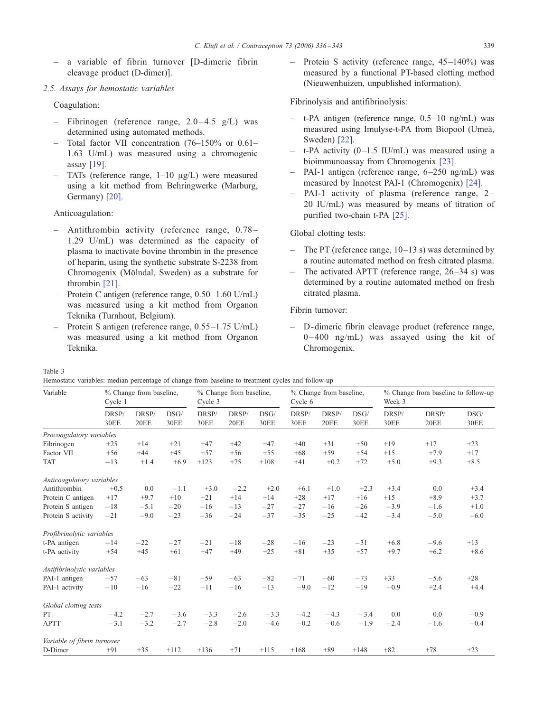<span id="page-3-0"></span>– a variable of fibrin turnover [D-dimeric fibrin cleavage product (D-dimer)].

# 2.5. Assays for hemostatic variables

Coagulation:

- Fibrinogen (reference range,  $2.0-4.5$  g/L) was determined using automated methods.
- Total factor VII concentration (76–150% or 0.61– 1.63 U/mL) was measured using a chromogenic assay [\[19\].](#page-6-0)
- TATs (reference range,  $1-10 \mu g/L$ ) were measured using a kit method from Behringwerke (Marburg, Germany) [\[20\].](#page-6-0)

Anticoagulation:

- Antithrombin activity (reference range, 0.78 1.29 U/mL) was determined as the capacity of plasma to inactivate bovine thrombin in the presence of heparin, using the synthetic substrate S-2238 from Chromogenix (Mölndal, Sweden) as a substrate for thrombin [\[21\].](#page-6-0)
- Protein C antigen (reference range, 0.50-1.60 U/mL) was measured using a kit method from Organon Teknika (Turnhout, Belgium).
- Protein S antigen (reference range, 0.55–1.75 U/mL) was measured using a kit method from Organon Teknika.

Protein S activity (reference range, 45–140%) was measured by a functional PT-based clotting method (Nieuwenhuizen, unpublished information).

Fibrinolysis and antifibrinolysis:

- t-PA antigen (reference range, 0.5–10 ng/mL) was measured [usin](#page-6-0)g Imulyse-t-PA from Biopool (Ume3, Sweden) [22].
- t-PA activity  $(0-1.5 \text{ IU/mL})$  was me[asure](#page-6-0)d using a bioimmunoassay from Chromogenix [23].
- PAI-1 antigen (reference range, 6-250 ng/[mL\) w](#page-6-0)as measured by Innotest PAI-1 (Chromogenix) [24].
- PAI-1 activity of plasma (reference range, 2-20 IU/mL) was measured by means of titration of purified two-chain t-PA [\[25\].](#page-6-0)

Global clotting tests:

- The PT (reference range,  $10-13$  s) was determined by a routine automated method on fresh citrated plasma.
- The activated APTT (reference range,  $26-34$  s) was determined by a routine automated method on fresh citrated plasma.

Fibrin turnover:

– D -dimeric fibrin cleavage product (reference range,  $0-400$  ng/mL) was assayed using the kit of Chromogenix.

Table 3

Hemostatic variables: median percentage of change from baseline to treatment cycles and follow-up

| Variable                    | % Change from baseline,<br>Cycle 1 |               |                     | % Change from baseline,<br>Cycle 3 |               |                     | % Change from baseline,<br>Cycle 6 |                      |                     | % Change from baseline to follow-up<br>Week 3 |               |                     |
|-----------------------------|------------------------------------|---------------|---------------------|------------------------------------|---------------|---------------------|------------------------------------|----------------------|---------------------|-----------------------------------------------|---------------|---------------------|
|                             | DRSP/<br><b>30EE</b>               | DRSP/<br>20EE | DSG/<br><b>30EE</b> | DRSP/<br><b>30EE</b>               | DRSP/<br>20EE | DSG/<br><b>30EE</b> | DRSP/<br><b>30EE</b>               | DRSP/<br><b>20EE</b> | DSG/<br><b>30EE</b> | DRSP/<br><b>30EE</b>                          | DRSP/<br>20EE | DSG/<br><b>30EE</b> |
| Procoagulatory variables    |                                    |               |                     |                                    |               |                     |                                    |                      |                     |                                               |               |                     |
| Fibrinogen                  | $+25$                              | $+14$         | $+21$               | $+47$                              | $+42$         | $+47$               | $+40$                              | $+31$                | $+50$               | $+19$                                         | $+17$         | $+23$               |
| Factor VII                  | $+56$                              | $+44$         | $+45$               | $+57$                              | $+56$         | $+55$               | $+68$                              | $+59$                | $+54$               | $+15$                                         | $+7.9$        | $+17$               |
| <b>TAT</b>                  | $-13$                              | $+1.4$        | $+6.9$              | $+123$                             | $+75$         | $+108$              | $+41$                              | $+0.2$               | $+72$               | $+5.0$                                        | $+9.3$        | $+8.5$              |
| Anticoagulatory variables   |                                    |               |                     |                                    |               |                     |                                    |                      |                     |                                               |               |                     |
| Antithrombin                | $+0.5$                             | 0.0           | $-1.1$              | $+3.0$                             | $-2.2$        | $+2.0$              | $+6.1$                             | $+1.0$               | $+2.3$              | $+3.4$                                        | 0.0           | $+3.4$              |
| Protein C antigen           | $+17$                              | $+9.7$        | $+10$               | $+21$                              | $+14$         | $+14$               | $+28$                              | $+17$                | $+16$               | $+15$                                         | $+8.9$        | $+3.7$              |
| Protein S antigen           | $-18$                              | $-5.1$        | $-20$               | $-16$                              | $-13$         | $-27$               | $-27$                              | $-16$                | $-26$               | $-3.9$                                        | $-1.6$        | $+1.0$              |
| Protein S activity          | $-21$                              | $-9.0$        | $-23$               | $-36$                              | $-24$         | $-37$               | $-35$                              | $-25$                | $-42$               | $-3.4$                                        | $-5.0$        | $-6.0$              |
| Profibrinolytic variables   |                                    |               |                     |                                    |               |                     |                                    |                      |                     |                                               |               |                     |
| t-PA antigen                | $-14$                              | $-22$         | $-27$               | $-21$                              | $-18$         | $-28$               | $-16$                              | $-23$                | $-31$               | $+6.8$                                        | $-9.6$        | $+13$               |
| t-PA activity               | $+54$                              | $+45$         | $+61$               | $+47$                              | $+49$         | $+25$               | $+81$                              | $+35$                | $+57$               | $+9.7$                                        | $+6.2$        | $+8.6$              |
| Antifibrinolytic variables  |                                    |               |                     |                                    |               |                     |                                    |                      |                     |                                               |               |                     |
| PAI-1 antigen               | $-57$                              | $-63$         | $-81$               | $-59$                              | $-63$         | $-82$               | $-71$                              | $-60$                | $-73$               | $+33$                                         | $-5.6$        | $+28$               |
| PAI-1 activity              | $-10$                              | $-16$         | $-22$               | $-11$                              | $-16$         | $-13$               | $-9.0$                             | $-12$                | $-19$               | $-0.9$                                        | $+2.4$        | $+4.4$              |
| Global clotting tests       |                                    |               |                     |                                    |               |                     |                                    |                      |                     |                                               |               |                     |
| PT                          | $-4.2$                             | $-2.7$        | $-3.6$              | $-3.3$                             | $-2.6$        | $-3.3$              | $-4.2$                             | $-4.3$               | $-3.4$              | 0.0                                           | 0.0           | $-0.9$              |
| <b>APTT</b>                 | $-3.1$                             | $-3.2$        | $-2.7$              | $-2.8$                             | $-2.0$        | $-4.6$              | $-0.2$                             | $-0.6$               | $-1.9$              | $-2.4$                                        | $-1.6$        | $-0.4$              |
| Variable of fibrin turnover |                                    |               |                     |                                    |               |                     |                                    |                      |                     |                                               |               |                     |
| D-Dimer                     | $+91$                              | $+35$         | $+112$              | $+136$                             | $+71$         | $+115$              | $+168$                             | $+89$                | $+148$              | $+82$                                         | $+78$         | $+23$               |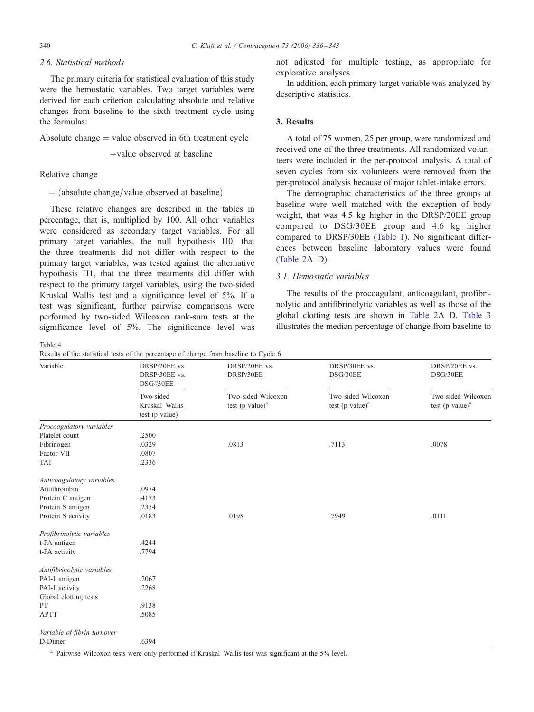# <span id="page-4-0"></span>2.6. Statistical methods

The primary criteria for statistical evaluation of this study were the hemostatic variables. Two target variables were derived for each criterion calculating absolute and relative changes from baseline to the sixth treatment cycle using the formulas:

Absolute change  $=$  value observed in 6th treatment cycle

-value observed at baseline

# Relative change

 $=$  (absolute change/value observed at baseline)

These relative changes are described in the tables in percentage, that is, multiplied by 100. All other variables were considered as secondary target variables. For all primary target variables, the null hypothesis H0, that the three treatments did not differ with respect to the primary target variables, was tested against the alternative hypothesis H1, that the three treatments did differ with respect to the primary target variables, using the two-sided Kruskal–Wallis test and a significance level of 5%. If a test was significant, further pairwise comparisons were performed by two-sided Wilcoxon rank-sum tests at the significance level of 5%. The significance level was

Table 4

Results of the statistical tests of the percentage of change from baseline to Cycle 6

not adjusted for multiple testing, as appropriate for explorative analyses.

In addition, each primary target variable was analyzed by descriptive statistics.

# 3. Results

A total of 75 women, 25 per group, were randomized and received one of the three treatments. All randomized volunteers were included in the per-protocol analysis. A total of seven cycles from six volunteers were removed from the per-protocol analysis because of major tablet-intake errors.

The demographic characteristics of the three groups at baseline were well matched with the exception of body weight, that was 4.5 kg higher in the DRSP/20EE group compared to DSG/30EE group and 4.6 kg higher compared to DRSP/30EE ([Table](#page-1-0) [1\)](#page-1-0). No significant differences between baseline laboratory values were found ([Table](#page-2-0) [2A](#page-2-0)–D).

# 3.1. Hemostatic variables

The results of the procoagulant, anticoagulant, profibrinolytic and antifibrinolytic variables as well as those of the global clotting tests are shown in [Table](#page-2-0) [2A](#page-2-0)–D. [Table](#page-3-0) [3](#page-3-0) illustrates the median percentage of change from baseline to

| Variable                    | DRSP/20EE vs.<br>DRSP/30EE vs.<br>DSG//30EE   | DRSP/20EE vs.<br>DRSP/30EE               | DRSP/30EE vs.<br>DSG/30EE                | DRSP/20EE vs.<br>DSG/30EE                |  |
|-----------------------------|-----------------------------------------------|------------------------------------------|------------------------------------------|------------------------------------------|--|
|                             | Two-sided<br>Kruskal-Wallis<br>test (p value) | Two-sided Wilcoxon<br>test (p value) $a$ | Two-sided Wilcoxon<br>test (p value) $a$ | Two-sided Wilcoxon<br>test (p value) $a$ |  |
| Procoagulatory variables    |                                               |                                          |                                          |                                          |  |
| Platelet count              | .2500                                         |                                          |                                          |                                          |  |
| Fibrinogen                  | .0329                                         | .0813                                    | .7113                                    | .0078                                    |  |
| Factor VII                  | .0807                                         |                                          |                                          |                                          |  |
| <b>TAT</b>                  | .2336                                         |                                          |                                          |                                          |  |
| Anticoagulatory variables   |                                               |                                          |                                          |                                          |  |
| Antithrombin                | .0974                                         |                                          |                                          |                                          |  |
| Protein C antigen           | .4173                                         |                                          |                                          |                                          |  |
| Protein S antigen           | .2354                                         |                                          |                                          |                                          |  |
| Protein S activity          | .0183                                         | .0198                                    | .7949                                    | .0111                                    |  |
| Profibrinolytic variables   |                                               |                                          |                                          |                                          |  |
| t-PA antigen                | .4244                                         |                                          |                                          |                                          |  |
| t-PA activity               | .7794                                         |                                          |                                          |                                          |  |
| Antifibrinolytic variables  |                                               |                                          |                                          |                                          |  |
| PAI-1 antigen               | .2067                                         |                                          |                                          |                                          |  |
| PAI-1 activity              | .2268                                         |                                          |                                          |                                          |  |
| Global clotting tests       |                                               |                                          |                                          |                                          |  |
| PT                          | .9138                                         |                                          |                                          |                                          |  |
| <b>APTT</b>                 | .5085                                         |                                          |                                          |                                          |  |
| Variable of fibrin turnover |                                               |                                          |                                          |                                          |  |
| D-Dimer                     | .6394                                         |                                          |                                          |                                          |  |

<sup>a</sup> Pairwise Wilcoxon tests were only performed if Kruskal–Wallis test was significant at the 5% level.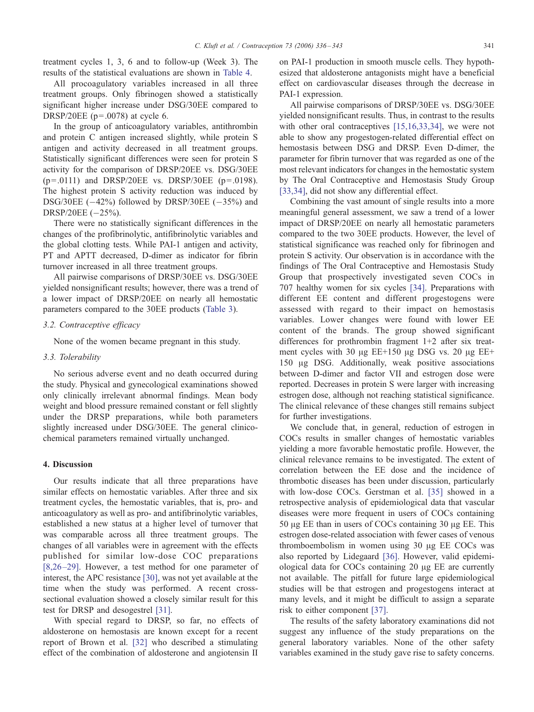treatment cycles 1, 3, 6 and to follow-up (Week 3). The results of the statistical evaluations are shown in [Table](#page-4-0) [4.](#page-4-0)

All procoagulatory variables increased in all three treatment groups. Only fibrinogen showed a statistically significant higher increase under DSG/30EE compared to DRSP/20EE ( $p=.0078$ ) at cycle 6.

In the group of anticoagulatory variables, antithrombin and protein C antigen increased slightly, while protein S antigen and activity decreased in all treatment groups. Statistically significant differences were seen for protein S activity for the comparison of DRSP/20EE vs. DSG/30EE  $(p=.0111)$  and DRSP/20EE vs. DRSP/30EE  $(p=.0198)$ . The highest protein S activity reduction was induced by DSG/30EE  $(-42\%)$  followed by DRSP/30EE  $(-35\%)$  and DRSP/20EE  $(-25%).$ 

There were no statistically significant differences in the changes of the profibrinolytic, antifibrinolytic variables and the global clotting tests. While PAI-1 antigen and activity, PT and APTT decreased, D-dimer as indicator for fibrin turnover increased in all three treatment groups.

All pairwise comparisons of DRSP/30EE vs. DSG/30EE yielded nonsignificant results; however, there was a trend of a lower impact of DRSP/20EE on nearly all hemostatic parameters compared to the 30EE products ([Table](#page-3-0) [3\)](#page-3-0).

# 3.2. Contraceptive efficacy

None of the women became pregnant in this study.

#### 3.3. Tolerability

No serious adverse event and no death occurred during the study. Physical and gynecological examinations showed only clinically irrelevant abnormal findings. Mean body weight and blood pressure remained constant or fell slightly under the DRSP preparations, while both parameters slightly increased under DSG/30EE. The general clinicochemical parameters remained virtually unchanged.

## 4. Discussion

Our results indicate that all three preparations have similar effects on hemostatic variables. After three and six treatment cycles, the hemostatic variables, that is, pro- and anticoagulatory as well as pro- and antifibrinolytic variables, established a new status at a higher level of turnover that was comparable across all three treatment groups. The changes of all variables were in agreement with the effects published for similar low-dose COC preparations [\[8,26](#page-6-0) [–29\].](#page-6-0) However, a test method for one parameter of interest, the APC resistance [\[30\],](#page-6-0) was not yet available at the time when the study was performed. A recent crosssectional evaluation showed a closely similar result for this test for DRSP and desogestrel [\[31\].](#page-6-0)

With special regard to DRSP, so far, no effects of aldosterone on hemostasis are known except for a recent report of Brown et al. [\[32\]](#page-7-0) who described a stimulating effect of the combination of aldosterone and angiotensin II on PAI-1 production in smooth muscle cells. They hypothesized that aldosterone antagonists might have a beneficial effect on cardiovascular diseases through the decrease in PAI-1 expression.

All pairwise comparisons of DRSP/30EE vs. DSG/30EE yielded nonsignificant results. T[hus, in contras](#page-6-0)t to the results with other oral contraceptives [15,16,33,34], we were not able to show any progestogen-related differential effect on hemostasis between DSG and DRSP. Even D-dimer, the parameter for fibrin turnover that was regarded as one of the most relevant indicators for changes in the hemostatic system by The Oral Contraceptive and Hemostasis Study Group [\[33,34\],](#page-7-0) did not show any differential effect.

Combining the vast amount of single results into a more meaningful general assessment, we saw a trend of a lower impact of DRSP/20EE on nearly all hemostatic parameters compared to the two 30EE products. However, the level of statistical significance was reached only for fibrinogen and protein S activity. Our observation is in accordance with the findings of The Oral Contraceptive and Hemostasis Study Group that prospectively investigated seven COCs in 707 healthy women for six cycles [\[34\].](#page-7-0) Preparations with different EE content and different progestogens were assessed with regard to their impact on hemostasis variables. Lower changes were found with lower EE content of the brands. The group showed significant differences for prothrombin fragment 1+2 after six treatment cycles with 30  $\mu$ g EE+150  $\mu$ g DSG vs. 20  $\mu$ g EE+ 150 Ag DSG. Additionally, weak positive associations between D-dimer and factor VII and estrogen dose were reported. Decreases in protein S were larger with increasing estrogen dose, although not reaching statistical significance. The clinical relevance of these changes still remains subject for further investigations.

We conclude that, in general, reduction of estrogen in COCs results in smaller changes of hemostatic variables yielding a more favorable hemostatic profile. However, the clinical relevance remains to be investigated. The extent of correlation between the EE dose and the incidence of thrombotic diseases has been under discussion, particularly with low-dose COCs. Gerstman et al. [\[35\]](#page-7-0) showed in a retrospective analysis of epidemiological data that vascular diseases were more frequent in users of COCs containing  $50 \mu g$  EE than in users of COCs containing  $30 \mu g$  EE. This estrogen dose-related association with fewer cases of venous thromboembolism in women using  $30 \mu$ g EE COCs was also reported by Lidegaard [\[36\].](#page-7-0) However, valid epidemiological data for COCs containing  $20 \mu g$  EE are currently not available. The pitfall for future large epidemiological studies will be that estrogen and progestogens interact at many levels, and it might be difficult to assign a separate risk to either component [\[37\].](#page-7-0)

The results of the safety laboratory examinations did not suggest any influence of the study preparations on the general laboratory variables. None of the other safety variables examined in the study gave rise to safety concerns.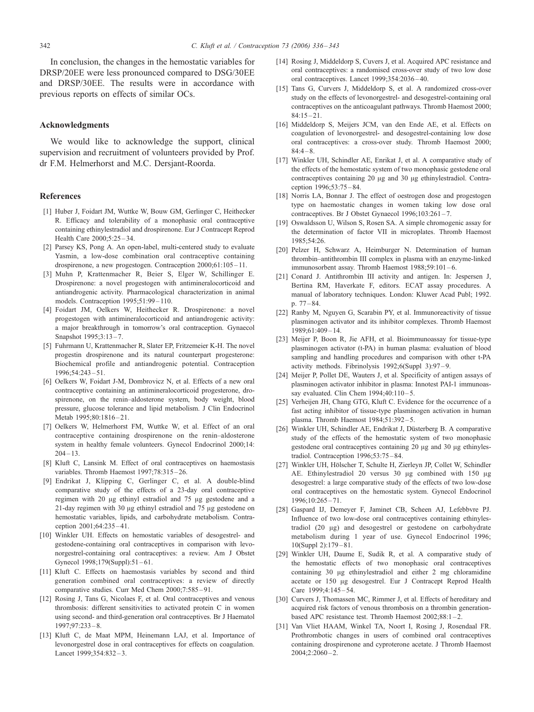<span id="page-6-0"></span>In conclusion, the changes in the hemostatic variables for DRSP/20EE were less pronounced compared to DSG/30EE and DRSP/30EE. The results were in accordance with previous reports on effects of similar OCs.

## Acknowledgments

We would like to acknowledge the support, clinical supervision and recruitment of volunteers provided by Prof. dr F.M. Helmerhorst and M.C. Dersjant-Roorda.

## References

- [1] Huber J, Foidart JM, Wuttke W, Bouw GM, Gerlinger C, Heithecker R. Efficacy and tolerability of a monophasic oral contraceptive containing ethinylestradiol and drospirenone. Eur J Contracept Reprod Health Care 2000;5:25 – 34.
- [2] Parsey KS, Pong A. An open-label, multi-centered study to evaluate Yasmin, a low-dose combination oral contraceptive containing drospirenone, a new progestogen. Contraception 2000;61:105 – 11.
- [3] Muhn P, Krattenmacher R, Beier S, Elger W, Schillinger E. Drospirenone: a novel progestogen with antimineralocorticoid and antiandrogenic activity. Pharmacological characterization in animal models. Contraception 1995;51:99 – 110.
- [4] Foidart JM, Oelkers W, Heithecker R. Drospirenone: a novel progestogen with antimineralocorticoid and antiandrogenic activity: a major breakthrough in tomorrow's oral contraception. Gynaecol Snapshot 1995;3:13 – 7.
- [5] Fuhrmann U, Krattenmacher R, Slater EP, Fritzemeier K-H. The novel progestin drospirenone and its natural counterpart progesterone: Biochemical profile and antiandrogenic potential. Contraception 1996;54:243 – 51.
- [6] Oelkers W, Foidart J-M, Dombrovicz N, et al. Effects of a new oral contraceptive containing an antimineralocorticoid progesterone, drospirenone, on the renin–aldosterone system, body weight, blood pressure, glucose tolerance and lipid metabolism. J Clin Endocrinol Metab 1995;80:1816-21.
- [7] Oelkers W, Helmerhorst FM, Wuttke W, et al. Effect of an oral contraceptive containing drospirenone on the renin–aldosterone system in healthy female volunteers. Gynecol Endocrinol 2000;14:  $204 - 13$ .
- [8] Kluft C, Lansink M. Effect of oral contraceptives on haemostasis variables. Thromb Haemost 1997;78:315-26.
- [9] Endrikat J, Klipping C, Gerlinger C, et al. A double-blind comparative study of the effects of a 23-day oral contraceptive regimen with 20 µg ethinyl estradiol and 75 µg gestodene and a 21-day regimen with 30  $\mu$ g ethinyl estradiol and 75  $\mu$ g gestodene on hemostatic variables, lipids, and carbohydrate metabolism. Contraception 2001;64:235 – 41.
- [10] Winkler UH. Effects on hemostatic variables of desogestrel- and gestodene-containing oral contraceptives in comparison with levonorgestrel-containing oral contraceptives: a review. Am J Obstet Gynecol 1998;179(Suppl):51-61.
- [11] Kluft C. Effects on haemostasis variables by second and third generation combined oral contraceptives: a review of directly comparative studies. Curr Med Chem 2000;7:585-91.
- [12] Rosing J, Tans G, Nicolaes F, et al. Oral contraceptives and venous thrombosis: different sensitivities to activated protein C in women using second- and third-generation oral contraceptives. Br J Haematol 1997;97:233 – 8.
- [13] Kluft C, de Maat MPM, Heinemann LAJ, et al. Importance of levonorgestrel dose in oral contraceptives for effects on coagulation. Lancet 1999;354:832-3.
- [14] Rosing J, Middeldorp S, Cuvers J, et al. Acquired APC resistance and oral contraceptives: a randomised cross-over study of two low dose oral contraceptives. Lancet 1999;354:2036 – 40.
- [15] Tans G, Curvers J, Middeldorp S, et al. A randomized cross-over study on the effects of levonorgestrel- and desogestrel-containing oral contraceptives on the anticoagulant pathways. Thromb Haemost 2000;  $84:15 - 21.$
- [16] Middeldorp S, Meijers JCM, van den Ende AE, et al. Effects on coagulation of levonorgestrel- and desogestrel-containing low dose oral contraceptives: a cross-over study. Thromb Haemost 2000;  $84:4 - 8$ .
- [17] Winkler UH, Schindler AE, Enrikat J, et al. A comparative study of the effects of the hemostatic system of two monophasic gestodene oral contraceptives containing 20  $\mu$ g and 30  $\mu$ g ethinylestradiol. Contraception 1996;53:75 – 84.
- [18] Norris LA, Bonnar J. The effect of oestrogen dose and progestogen type on haemostatic changes in women taking low dose oral contraceptives. Br J Obstet Gynaecol 1996;103:261-7.
- [19] Oswaldsson U, Wilson S, Rosen SA. A simple chromogenic assay for the determination of factor VII in microplates. Thromb Haemost 1985;54:26.
- [20] Pelzer H, Schwarz A, Heimburger N. Determination of human thrombin–antithrombin III complex in plasma with an enzyme-linked immunosorbent assay. Thromb Haemost 1988;59:101-6.
- [21] Conard J. Antithrombin III activity and antigen. In: Jespersen J, Bertina RM, Haverkate F, editors. ECAT assay procedures. A manual of laboratory techniques. London: Kluwer Acad Publ; 1992. p. 77 – 84.
- [22] Ranby M, Nguyen G, Scarabin PY, et al. Immunoreactivity of tissue plasminogen activator and its inhibitor complexes. Thromb Haemost 1989;61:409 – 14.
- [23] Meijer P, Boon R, Jie AFH, et al. Bioimmunoassay for tissue-type plasminogen activator (t-PA) in human plasma: evaluation of blood sampling and handling procedures and comparison with other t-PA activity methods. Fibrinolysis 1992;6(Suppl 3):97 – 9.
- [24] Meijer P, Pollet DE, Wauters J, et al. Specificity of antigen assays of plasminogen activator inhibitor in plasma: Innotest PAI-1 immunoassay evaluated. Clin Chem 1994;40:110-5.
- [25] Verheijen JH, Chang GTG, Kluft C. Evidence for the occurrence of a fast acting inhibitor of tissue-type plasminogen activation in human plasma. Thromb Haemost 1984;51:392 – 5.
- [26] Winkler UH, Schindler AE, Endrikat J, Düsterberg B. A comparative study of the effects of the hemostatic system of two monophasic gestodene oral contraceptives containing  $20 \mu$ g and  $30 \mu$ g ethinylestradiol. Contraception 1996;53:75 – 84.
- [27] Winkler UH, Hölscher T, Schulte H, Zierleyn JP, Collet W, Schindler AE. Ethinylestradiol 20 versus 30 µg combined with 150 µg desogestrel: a large comparative study of the effects of two low-dose oral contraceptives on the hemostatic system. Gynecol Endocrinol 1996;10:265 – 71.
- [28] Gaspard IJ, Demeyer F, Jaminet CB, Scheen AJ, Lefebbvre PJ. Influence of two low-dose oral contraceptives containing ethinylestradiol (20 µg) and desogestrel or gestodene on carbohydrate metabolism during 1 year of use. Gynecol Endocrinol 1996; 10(Suppl 2):179 – 81.
- [29] Winkler UH, Daume E, Sudik R, et al. A comparative study of the hemostatic effects of two monophasic oral contraceptives containing  $30 \mu$ g ethinylestradiol and either 2 mg chloramidine acetate or 150 µg desogestrel. Eur J Contracept Reprod Health Care 1999;4:145-54.
- [30] Curvers J, Thomassen MC, Rimmer J, et al. Effects of hereditary and acquired risk factors of venous thrombosis on a thrombin generationbased APC resistance test. Thromb Haemost 2002;88:1-2.
- [31] Van Vliet HAAM, Winkel TA, Noort I, Rosing J, Rosendaal FR. Prothrombotic changes in users of combined oral contraceptives containing drospirenone and cyproterone acetate. J Thromb Haemost  $2004;2:2060 - 2.$